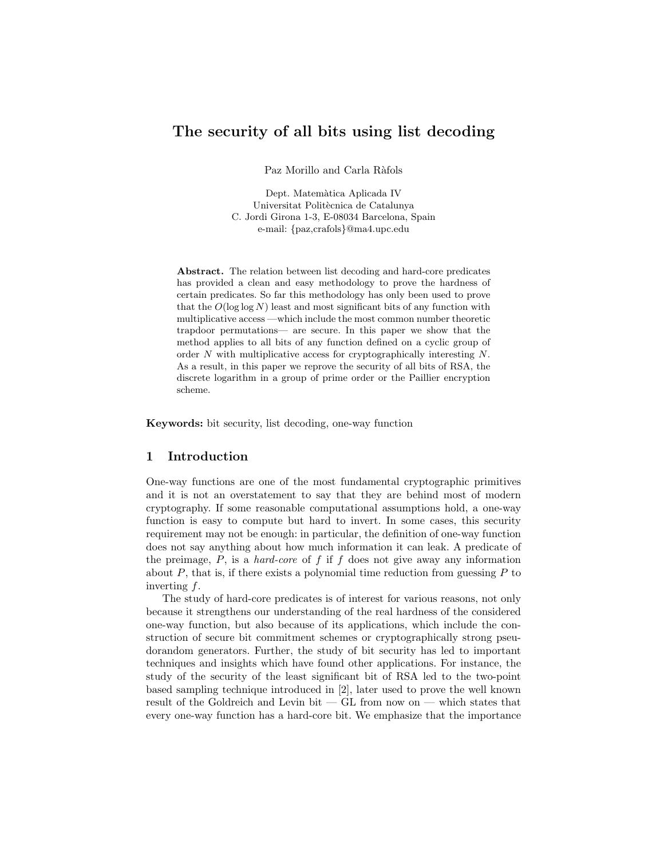# The security of all bits using list decoding

Paz Morillo and Carla Ràfols

Dept. Matemàtica Aplicada IV Universitat Politècnica de Catalunya C. Jordi Girona 1-3, E-08034 Barcelona, Spain e-mail: {paz,crafols}@ma4.upc.edu

Abstract. The relation between list decoding and hard-core predicates has provided a clean and easy methodology to prove the hardness of certain predicates. So far this methodology has only been used to prove that the  $O(\log \log N)$  least and most significant bits of any function with multiplicative access —which include the most common number theoretic trapdoor permutations— are secure. In this paper we show that the method applies to all bits of any function defined on a cyclic group of order N with multiplicative access for cryptographically interesting N. As a result, in this paper we reprove the security of all bits of RSA, the discrete logarithm in a group of prime order or the Paillier encryption scheme.

Keywords: bit security, list decoding, one-way function

## 1 Introduction

One-way functions are one of the most fundamental cryptographic primitives and it is not an overstatement to say that they are behind most of modern cryptography. If some reasonable computational assumptions hold, a one-way function is easy to compute but hard to invert. In some cases, this security requirement may not be enough: in particular, the definition of one-way function does not say anything about how much information it can leak. A predicate of the preimage,  $P$ , is a *hard-core* of  $f$  if  $f$  does not give away any information about  $P$ , that is, if there exists a polynomial time reduction from guessing  $P$  to inverting f.

The study of hard-core predicates is of interest for various reasons, not only because it strengthens our understanding of the real hardness of the considered one-way function, but also because of its applications, which include the construction of secure bit commitment schemes or cryptographically strong pseudorandom generators. Further, the study of bit security has led to important techniques and insights which have found other applications. For instance, the study of the security of the least significant bit of RSA led to the two-point based sampling technique introduced in [2], later used to prove the well known result of the Goldreich and Levin bit — GL from now on — which states that every one-way function has a hard-core bit. We emphasize that the importance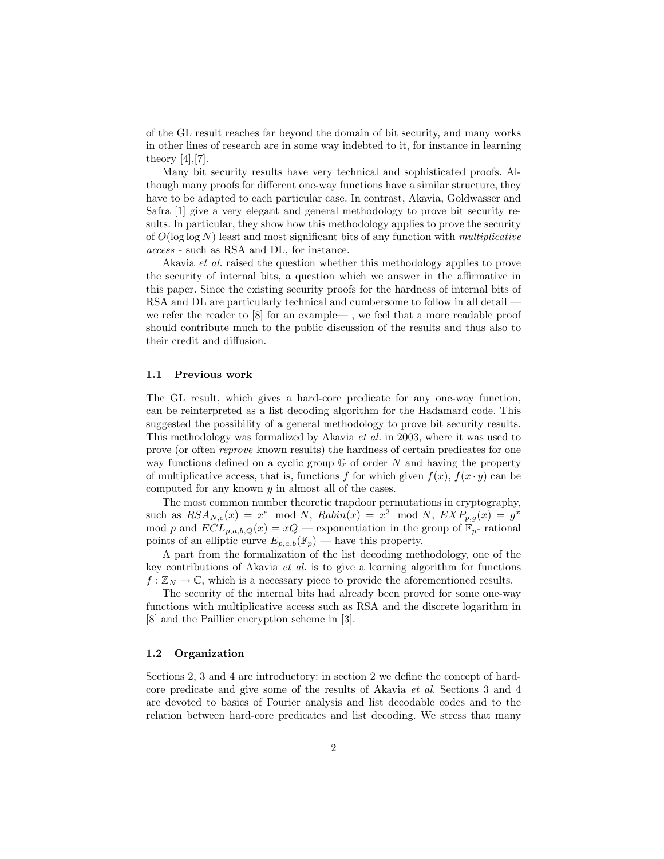of the GL result reaches far beyond the domain of bit security, and many works in other lines of research are in some way indebted to it, for instance in learning theory  $[4], [7]$ .

Many bit security results have very technical and sophisticated proofs. Although many proofs for different one-way functions have a similar structure, they have to be adapted to each particular case. In contrast, Akavia, Goldwasser and Safra [1] give a very elegant and general methodology to prove bit security results. In particular, they show how this methodology applies to prove the security of  $O(\log \log N)$  least and most significant bits of any function with *multiplicative* access - such as RSA and DL, for instance.

Akavia et al. raised the question whether this methodology applies to prove the security of internal bits, a question which we answer in the affirmative in this paper. Since the existing security proofs for the hardness of internal bits of RSA and DL are particularly technical and cumbersome to follow in all detail we refer the reader to [8] for an example— , we feel that a more readable proof should contribute much to the public discussion of the results and thus also to their credit and diffusion.

#### 1.1 Previous work

The GL result, which gives a hard-core predicate for any one-way function, can be reinterpreted as a list decoding algorithm for the Hadamard code. This suggested the possibility of a general methodology to prove bit security results. This methodology was formalized by Akavia et al. in 2003, where it was used to prove (or often reprove known results) the hardness of certain predicates for one way functions defined on a cyclic group  $\mathbb{G}$  of order N and having the property of multiplicative access, that is, functions f for which given  $f(x)$ ,  $f(x \cdot y)$  can be computed for any known  $y$  in almost all of the cases.

The most common number theoretic trapdoor permutations in cryptography, such as  $RSA_{N,e}(x) = x^e \mod N$ ,  $Rabin(x) = x^2 \mod N$ ,  $EXP_{p,g}(x) = g^x$ mod p and  $ECL_{p,a,b,Q}(x) = xQ$  — exponentiation in the group of  $\mathbb{F}_p$ -rational points of an elliptic curve  $E_{p,a,b}(\mathbb{F}_p)$  — have this property.

A part from the formalization of the list decoding methodology, one of the key contributions of Akavia et al. is to give a learning algorithm for functions  $f: \mathbb{Z}_N \to \mathbb{C}$ , which is a necessary piece to provide the aforementioned results.

The security of the internal bits had already been proved for some one-way functions with multiplicative access such as RSA and the discrete logarithm in [8] and the Paillier encryption scheme in [3].

#### 1.2 Organization

Sections 2, 3 and 4 are introductory: in section 2 we define the concept of hardcore predicate and give some of the results of Akavia et al. Sections 3 and 4 are devoted to basics of Fourier analysis and list decodable codes and to the relation between hard-core predicates and list decoding. We stress that many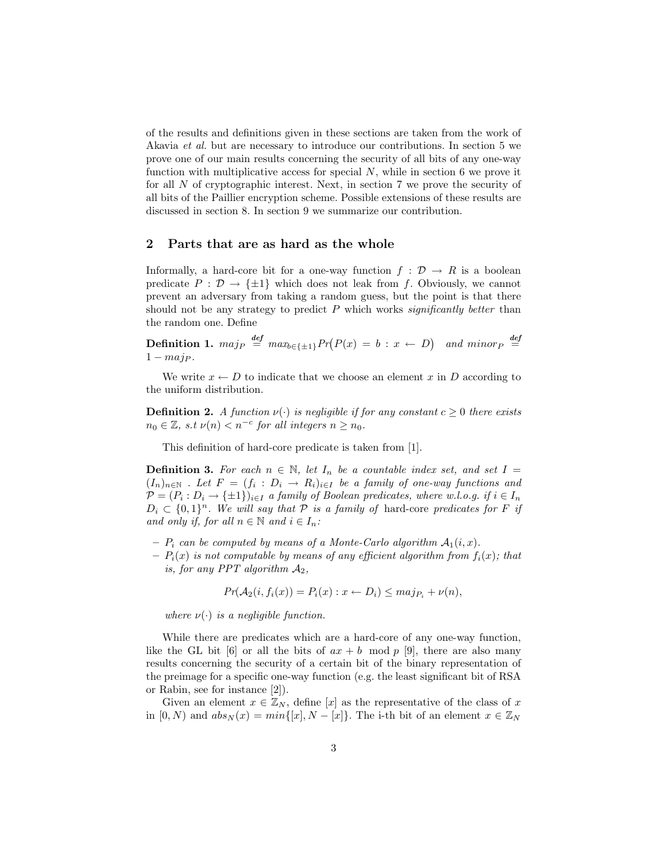of the results and definitions given in these sections are taken from the work of Akavia et al. but are necessary to introduce our contributions. In section 5 we prove one of our main results concerning the security of all bits of any one-way function with multiplicative access for special  $N$ , while in section 6 we prove it for all N of cryptographic interest. Next, in section 7 we prove the security of all bits of the Paillier encryption scheme. Possible extensions of these results are discussed in section 8. In section 9 we summarize our contribution.

# 2 Parts that are as hard as the whole

Informally, a hard-core bit for a one-way function  $f : \mathcal{D} \to R$  is a boolean predicate  $P : \mathcal{D} \to \{\pm 1\}$  which does not leak from f. Obviously, we cannot prevent an adversary from taking a random guess, but the point is that there should not be any strategy to predict  $P$  which works significantly better than the random one. Define

**Definition 1.**  $maj_P \stackrel{def}{=} max_{b \in \{\pm 1\}} Pr(P(x) = b : x \leftarrow D)$  and  $minor_P \stackrel{def}{=}$  $1 - maj_P.$ 

We write  $x \leftarrow D$  to indicate that we choose an element x in D according to the uniform distribution.

**Definition 2.** A function  $\nu(\cdot)$  is negligible if for any constant  $c \geq 0$  there exists  $n_0 \in \mathbb{Z}$ , s.t  $\nu(n) < n^{-c}$  for all integers  $n \geq n_0$ .

This definition of hard-core predicate is taken from [1].

**Definition 3.** For each  $n \in \mathbb{N}$ , let  $I_n$  be a countable index set, and set  $I =$  $(I_n)_{n\in\mathbb{N}}$  . Let  $F = (f_i : D_i \to R_i)_{i\in I}$  be a family of one-way functions and  $\mathcal{P}=(P_i:D_i\rightarrow \{\pm 1\})_{i\in I}$  a family of Boolean predicates, where w.l.o.g. if  $i\in I_n$  $D_i \subset \{0,1\}^n$ . We will say that  $P$  is a family of hard-core predicates for F if and only if, for all  $n \in \mathbb{N}$  and  $i \in I_n$ :

- $P_i$  can be computed by means of a Monte-Carlo algorithm  $A_1(i, x)$ .
- $-P_i(x)$  is not computable by means of any efficient algorithm from  $f_i(x)$ ; that is, for any PPT algorithm  $A_2$ ,

$$
Pr(\mathcal{A}_2(i, f_i(x)) = P_i(x) : x \leftarrow D_i) \leq maj_{P_i} + \nu(n),
$$

where  $\nu(\cdot)$  is a negligible function.

While there are predicates which are a hard-core of any one-way function, like the GL bit [6] or all the bits of  $ax + b \mod p$  [9], there are also many results concerning the security of a certain bit of the binary representation of the preimage for a specific one-way function (e.g. the least significant bit of RSA or Rabin, see for instance [2]).

Given an element  $x \in \mathbb{Z}_N$ , define [x] as the representative of the class of x in  $[0, N)$  and  $abs_N(x) = min\{[x], N - [x]\}.$  The i-th bit of an element  $x \in \mathbb{Z}_N$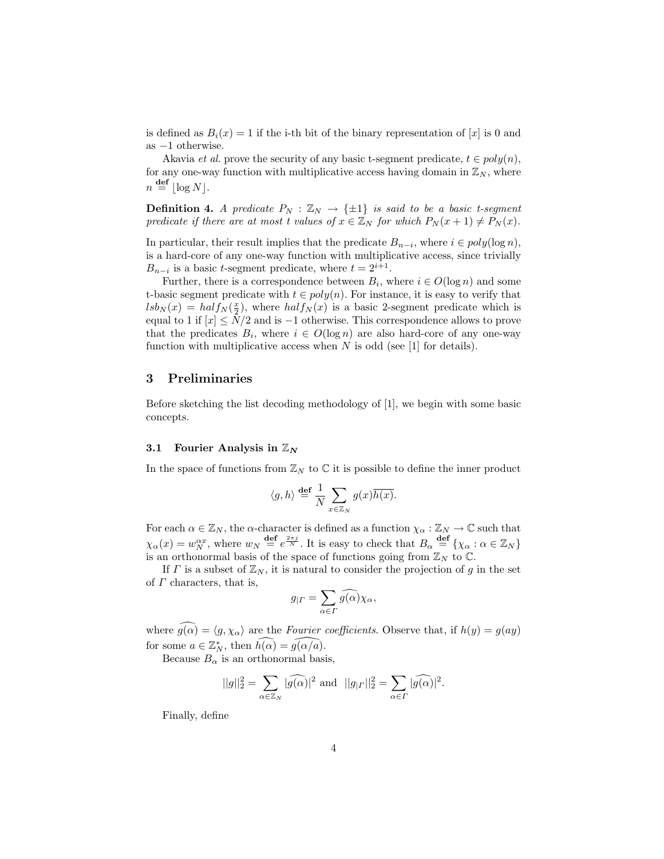is defined as  $B_i(x) = 1$  if the i-th bit of the binary representation of  $[x]$  is 0 and as −1 otherwise.

Akavia *et al.* prove the security of any basic t-segment predicate,  $t \in poly(n)$ , for any one-way function with multiplicative access having domain in  $\mathbb{Z}_N$ , where  $n \stackrel{\text{def}}{=} |\log N|.$ 

**Definition 4.** A predicate  $P_N : \mathbb{Z}_N \to \{\pm 1\}$  is said to be a basic t-segment predicate if there are at most t values of  $x \in \mathbb{Z}_N$  for which  $P_N(x+1) \neq P_N(x)$ .

In particular, their result implies that the predicate  $B_{n-i}$ , where  $i \in poly(\log n)$ , is a hard-core of any one-way function with multiplicative access, since trivially  $B_{n-i}$  is a basic t-segment predicate, where  $t = 2^{i+1}$ .

Further, there is a correspondence between  $B_i$ , where  $i \in O(\log n)$  and some t-basic segment predicate with  $t \in poly(n)$ . For instance, it is easy to verify that  $lsb_N(x) = half_N(\frac{x}{2})$ , where  $half_N(x)$  is a basic 2-segment predicate which is equal to 1 if  $[x] \leq N/2$  and is -1 otherwise. This correspondence allows to prove that the predicates  $B_i$ , where  $i \in O(\log n)$  are also hard-core of any one-way function with multiplicative access when  $N$  is odd (see [1] for details).

# 3 Preliminaries

Before sketching the list decoding methodology of [1], we begin with some basic concepts.

### 3.1 Fourier Analysis in  $\mathbb{Z}_N$

In the space of functions from  $\mathbb{Z}_N$  to  $\mathbb C$  it is possible to define the inner product

$$
\langle g, h \rangle \stackrel{\mathbf{def}}{=} \frac{1}{N} \sum_{x \in \mathbb{Z}_N} g(x) \overline{h(x)}.
$$

For each  $\alpha \in \mathbb{Z}_N$ , the  $\alpha$ -character is defined as a function  $\chi_{\alpha} : \mathbb{Z}_N \to \mathbb{C}$  such that  $\chi_{\alpha}(x) = w_N^{\alpha x}$ , where  $w_N \stackrel{\text{def}}{=} e^{\frac{2\pi j}{N}}$ . It is easy to check that  $B_{\alpha} \stackrel{\text{def}}{=} \{ \chi_{\alpha} : \alpha \in \mathbb{Z}_N \}$ is an orthonormal basis of the space of functions going from  $\mathbb{Z}_N$  to  $\mathbb{C}$ .

If  $\Gamma$  is a subset of  $\mathbb{Z}_N$ , it is natural to consider the projection of g in the set of  $\Gamma$  characters, that is,

$$
g_{|\Gamma} = \sum_{\alpha \in \Gamma} \widehat{g(\alpha)} \chi_{\alpha},
$$

where  $g(\alpha) = \langle g, \chi_{\alpha} \rangle$  are the Fourier coefficients. Observe that, if  $h(y) = g(ay)$ for some  $a \in \mathbb{Z}_N^*$ , then  $\widehat{h(\alpha)} = \widehat{g(\alpha/a)}$ .

Because  $B_{\alpha}$  is an orthonormal basis,

$$
||g||_2^2 = \sum_{\alpha \in \mathbb{Z}_N} |\widehat{g(\alpha)}|^2 \text{ and } ||g_{|_\mathcal{I}}||_2^2 = \sum_{\alpha \in \Gamma} |\widehat{g(\alpha)}|^2.
$$

Finally, define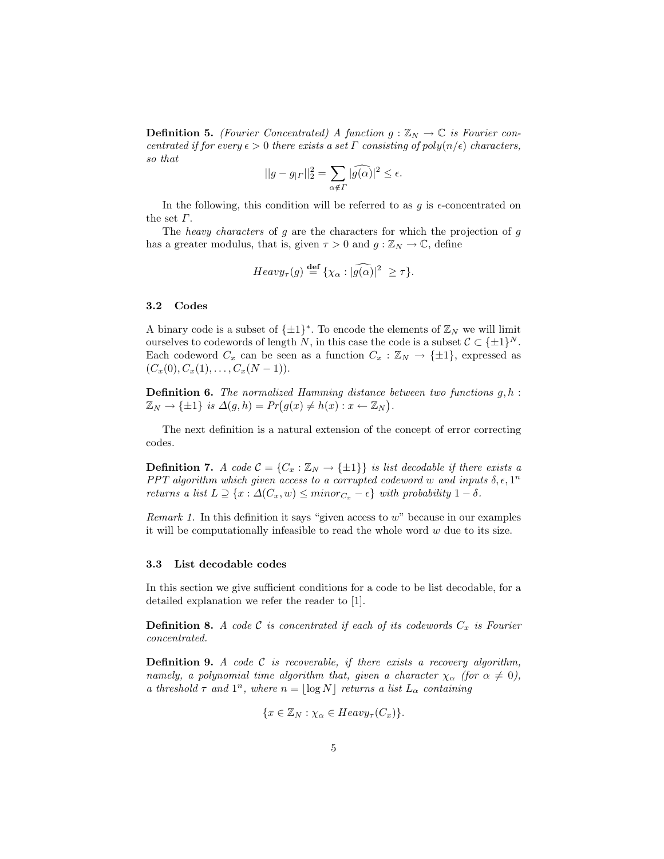**Definition 5.** (Fourier Concentrated) A function  $g : \mathbb{Z}_N \to \mathbb{C}$  is Fourier concentrated if for every  $\epsilon > 0$  there exists a set  $\Gamma$  consisting of poly $(n/\epsilon)$  characters, so that

$$
||g - g_{| \Gamma}||_2^2 = \sum_{\alpha \notin \Gamma} |\widehat{g(\alpha)}|^2 \le \epsilon.
$$

In the following, this condition will be referred to as  $g$  is  $\epsilon$ -concentrated on the set  $\Gamma$ .

The heavy characters of  $g$  are the characters for which the projection of  $g$ has a greater modulus, that is, given  $\tau > 0$  and  $g : \mathbb{Z}_N \to \mathbb{C}$ , define

$$
Heavy_{\tau}(g) \stackrel{\text{def}}{=} {\{\chi_{\alpha} : |\widehat{g(\alpha)}|^2 \geq \tau \}}.
$$

#### 3.2 Codes

A binary code is a subset of  $\{\pm 1\}^*$ . To encode the elements of  $\mathbb{Z}_N$  we will limit ourselves to codewords of length N, in this case the code is a subset  $C \subset \{\pm 1\}^N$ . Each codeword  $C_x$  can be seen as a function  $C_x : \mathbb{Z}_N \to {\pm 1}$ , expressed as  $(C_x(0), C_x(1), \ldots, C_x(N-1)).$ 

**Definition 6.** The normalized Hamming distance between two functions  $g, h$ :  $\mathbb{Z}_N \to \{\pm 1\}$  is  $\Delta(g, h) = Pr(g(x) \neq h(x) : x \leftarrow \mathbb{Z}_N)$ .

The next definition is a natural extension of the concept of error correcting codes.

**Definition 7.** A code  $C = \{C_x : \mathbb{Z}_N \to \{\pm 1\}\}\$ is list decodable if there exists a PPT algorithm which given access to a corrupted codeword w and inputs  $\delta, \epsilon, 1^n$ returns a list  $L \supseteq \{x : \Delta(C_x, w) \leq \text{minor}_{C_x} - \epsilon\}$  with probability  $1 - \delta$ .

*Remark 1.* In this definition it says "given access to  $w$ " because in our examples it will be computationally infeasible to read the whole word  $w$  due to its size.

#### 3.3 List decodable codes

In this section we give sufficient conditions for a code to be list decodable, for a detailed explanation we refer the reader to [1].

**Definition 8.** A code C is concentrated if each of its codewords  $C_x$  is Fourier concentrated.

**Definition 9.** A code  $C$  is recoverable, if there exists a recovery algorithm, namely, a polynomial time algorithm that, given a character  $\chi_{\alpha}$  (for  $\alpha \neq 0$ ), a threshold  $\tau$  and  $1^n$ , where  $n = \lfloor \log N \rfloor$  returns a list  $L_\alpha$  containing

$$
\{x \in \mathbb{Z}_N : \chi_\alpha \in Heavy_\tau(C_x)\}.
$$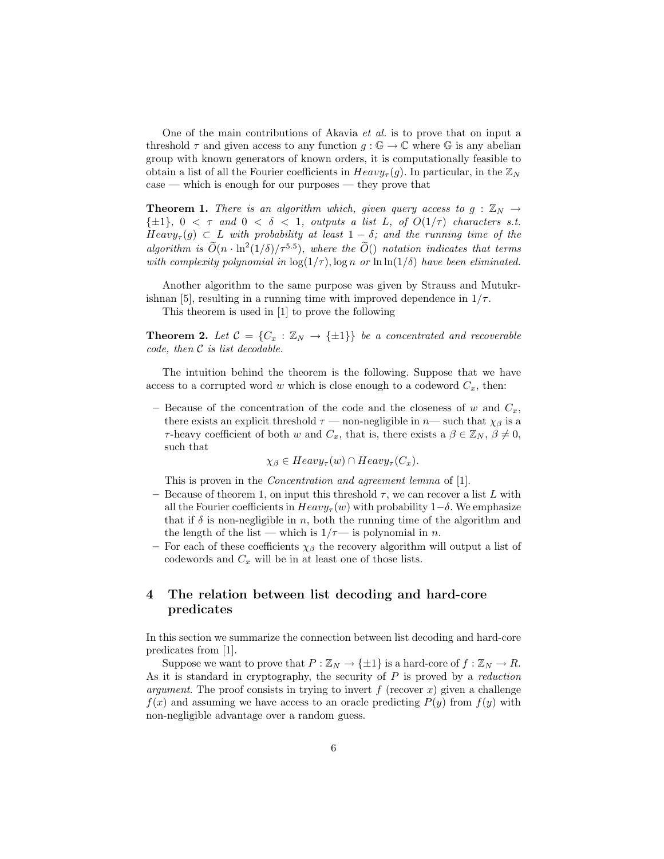One of the main contributions of Akavia et al. is to prove that on input a threshold  $\tau$  and given access to any function  $g : \mathbb{G} \to \mathbb{C}$  where  $\mathbb{G}$  is any abelian group with known generators of known orders, it is computationally feasible to obtain a list of all the Fourier coefficients in  $Heavy_\tau(g)$ . In particular, in the  $\mathbb{Z}_N$ case — which is enough for our purposes — they prove that

**Theorem 1.** There is an algorithm which, given query access to  $g : \mathbb{Z}_N \to$  $\{\pm 1\}$ ,  $0 < \tau$  and  $0 < \delta < 1$ , outputs a list L, of  $O(1/\tau)$  characters s.t.  $Heavy_{\tau}(g) \subset L$  with probability at least  $1 - \delta$ ; and the running time of the algorithm is  $\widetilde{O}(n \cdot \ln^2(1/\delta)/\tau^{5.5})$ , where the  $\widetilde{O}(n \cdot \ln^2(1/\delta)/\tau^{5.5})$ with complexity polynomial in  $\log(1/\tau)$ ,  $\log n$  or  $\ln \ln(1/\delta)$  have been eliminated.

Another algorithm to the same purpose was given by Strauss and Mutukrishnan [5], resulting in a running time with improved dependence in  $1/\tau$ .

This theorem is used in [1] to prove the following

**Theorem 2.** Let  $C = \{C_x : \mathbb{Z}_N \to \{\pm 1\}\}\$  be a concentrated and recoverable code, then C is list decodable.

The intuition behind the theorem is the following. Suppose that we have access to a corrupted word w which is close enough to a codeword  $C_x$ , then:

– Because of the concentration of the code and the closeness of w and  $C_x$ , there exists an explicit threshold  $\tau$  — non-negligible in n— such that  $\chi_{\beta}$  is a τ-heavy coefficient of both w and  $C_x$ , that is, there exists a  $\beta \in \mathbb{Z}_N$ ,  $\beta \neq 0$ , such that

 $\chi_{\beta} \in Heavy_{\tau}(w) \cap Heavy_{\tau}(C_x).$ 

This is proven in the Concentration and agreement lemma of [1].

- Because of theorem 1, on input this threshold  $\tau$ , we can recover a list L with all the Fourier coefficients in  $Heavy_{\tau}(w)$  with probability 1– $\delta$ . We emphasize that if  $\delta$  is non-negligible in n, both the running time of the algorithm and the length of the list — which is  $1/\tau$ — is polynomial in n.
- For each of these coefficients  $\chi_{\beta}$  the recovery algorithm will output a list of codewords and  $C_x$  will be in at least one of those lists.

# 4 The relation between list decoding and hard-core predicates

In this section we summarize the connection between list decoding and hard-core predicates from [1].

Suppose we want to prove that  $P : \mathbb{Z}_N \to {\{\pm 1\}}$  is a hard-core of  $f : \mathbb{Z}_N \to R$ . As it is standard in cryptography, the security of  $P$  is proved by a *reduction argument*. The proof consists in trying to invert f (recover x) given a challenge  $f(x)$  and assuming we have access to an oracle predicting  $P(y)$  from  $f(y)$  with non-negligible advantage over a random guess.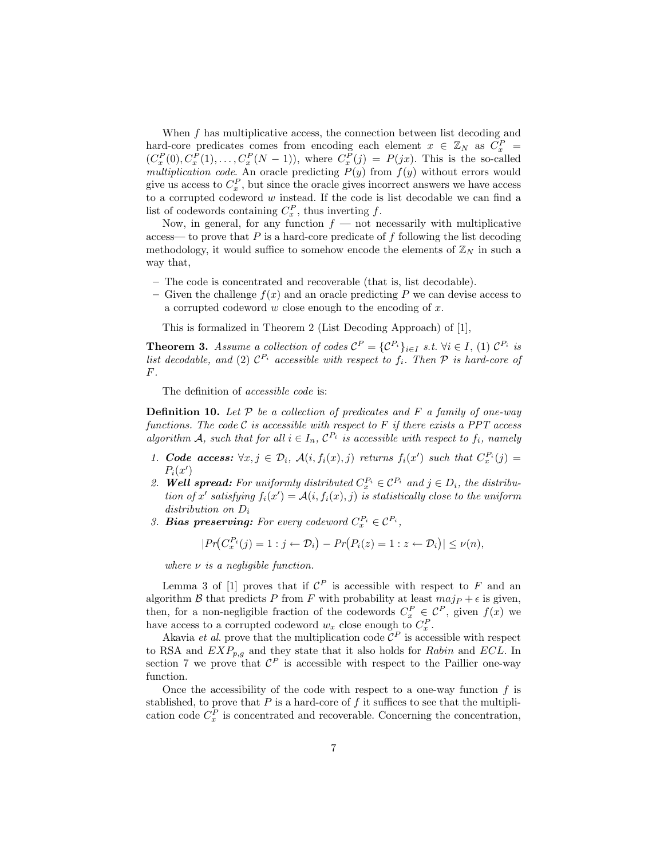When  $f$  has multiplicative access, the connection between list decoding and hard-core predicates comes from encoding each element  $x \in \mathbb{Z}_N$  as  $C_x^P$  =  $(C_x^P(0), C_x^P(1), \ldots, C_x^P(N-1)),$  where  $C_x^P(j) = P(jx)$ . This is the so-called multiplication code. An oracle predicting  $P(y)$  from  $f(y)$  without errors would give us access to  $C_x^P$ , but since the oracle gives incorrect answers we have access to a corrupted codeword w instead. If the code is list decodable we can find a list of codewords containing  $C_x^P$ , thus inverting f.

Now, in general, for any function  $f$  — not necessarily with multiplicative access— to prove that  $P$  is a hard-core predicate of  $f$  following the list decoding methodology, it would suffice to somehow encode the elements of  $\mathbb{Z}_N$  in such a way that,

- The code is concentrated and recoverable (that is, list decodable).
- Given the challenge  $f(x)$  and an oracle predicting P we can devise access to a corrupted codeword w close enough to the encoding of x.

This is formalized in Theorem 2 (List Decoding Approach) of [1],

**Theorem 3.** Assume a collection of codes  $C^P = \{C^{P_i}\}_{i \in I}$  s.t.  $\forall i \in I$ , (1)  $C^{P_i}$  is list decodable, and (2)  $\mathcal{C}^{P_i}$  accessible with respect to  $f_i$ . Then  $\mathcal P$  is hard-core of F.

The definition of accessible code is:

**Definition 10.** Let  $P$  be a collection of predicates and  $F$  a family of one-way functions. The code  $C$  is accessible with respect to  $F$  if there exists a PPT access algorithm A, such that for all  $i \in I_n$ ,  $\mathcal{C}^{P_i}$  is accessible with respect to  $f_i$ , namely

- 1. Code access:  $\forall x, j \in \mathcal{D}_i$ ,  $\mathcal{A}(i, f_i(x), j)$  returns  $f_i(x')$  such that  $C_x^{P_i}(j) =$  $P_i(x')$
- 2. **Well spread:** For uniformly distributed  $C_x^{P_i} \in C^P_i$  and  $j \in D_i$ , the distribution of x' satisfying  $f_i(x') = A(i, f_i(x), j)$  is statistically close to the uniform distribution on  $D_i$
- 3. **Bias preserving:** For every codeword  $C_x^{P_i} \in \mathcal{C}^{P_i}$ ,

$$
|Pr(C_x^{P_i}(j) = 1 : j \leftarrow \mathcal{D}_i) - Pr(P_i(z) = 1 : z \leftarrow \mathcal{D}_i)| \leq \nu(n),
$$

where  $\nu$  is a negligible function.

Lemma 3 of [1] proves that if  $\mathcal{C}^P$  is accessible with respect to F and an algorithm  $\beta$  that predicts P from F with probability at least  $maip + \epsilon$  is given, then, for a non-negligible fraction of the codewords  $C_x^P \in \mathcal{C}^P$ , given  $f(x)$  we have access to a corrupted codeword  $w_x$  close enough to  $C_x^P$ .

A kavia *et al.* prove that the multiplication code  $\mathcal{C}^P$  is accessible with respect to RSA and  $EXP_{p,g}$  and they state that it also holds for Rabin and ECL. In section 7 we prove that  $\mathcal{C}^P$  is accessible with respect to the Paillier one-way function.

Once the accessibility of the code with respect to a one-way function  $f$  is stablished, to prove that  $P$  is a hard-core of  $f$  it suffices to see that the multiplication code  $C_x^P$  is concentrated and recoverable. Concerning the concentration,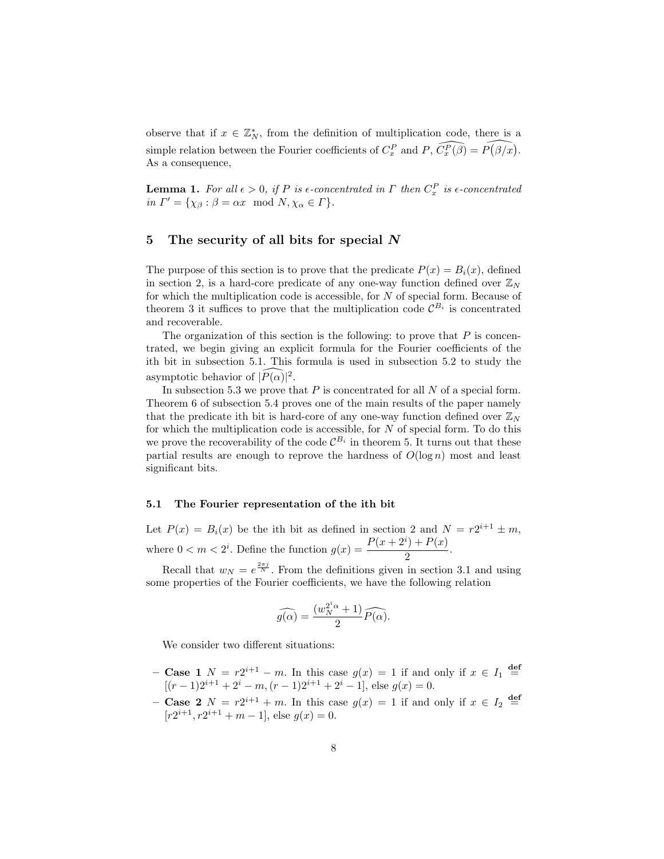observe that if  $x \in \mathbb{Z}_N^*$ , from the definition of multiplication code, there is a simple relation between the Fourier coefficients of  $C_x^P$  and  $P$ ,  $\widehat{C_x^P(\beta)} = \widehat{P(\beta/x)}$ . As a consequence,

**Lemma 1.** For all  $\epsilon > 0$ , if P is  $\epsilon$ -concentrated in  $\Gamma$  then  $C_x^P$  is  $\epsilon$ -concentrated in  $\Gamma' = {\chi_{\beta} : \beta = \alpha x \mod N, \chi_{\alpha} \in \Gamma}.$ 

## 5 The security of all bits for special N

The purpose of this section is to prove that the predicate  $P(x) = B_i(x)$ , defined in section 2, is a hard-core predicate of any one-way function defined over  $\mathbb{Z}_N$ for which the multiplication code is accessible, for N of special form. Because of theorem 3 it suffices to prove that the multiplication code  $\mathcal{C}^{B_i}$  is concentrated and recoverable.

The organization of this section is the following: to prove that  $P$  is concentrated, we begin giving an explicit formula for the Fourier coefficients of the ith bit in subsection 5.1. This formula is used in subsection 5.2 to study the asymptotic behavior of  $\widehat{|P(\alpha)|^2}$ .

In subsection 5.3 we prove that  $P$  is concentrated for all  $N$  of a special form. Theorem 6 of subsection 5.4 proves one of the main results of the paper namely that the predicate ith bit is hard-core of any one-way function defined over  $\mathbb{Z}_N$ for which the multiplication code is accessible, for  $N$  of special form. To do this we prove the recoverability of the code  $\mathcal{C}^{B_i}$  in theorem 5. It turns out that these partial results are enough to reprove the hardness of  $O(\log n)$  most and least significant bits.

#### 5.1 The Fourier representation of the ith bit

Let  $P(x) = B<sub>i</sub>(x)$  be the ith bit as defined in section 2 and  $N = r2^{i+1} \pm m$ , where  $0 < m < 2^i$ . Define the function  $g(x) = \frac{P(x+2^i) + P(x)}{2}$  $\frac{1+1(x)}{2}$ .

Recall that  $w_N = e^{\frac{2\pi j}{N}}$ . From the definitions given in section 3.1 and using some properties of the Fourier coefficients, we have the following relation

$$
\widehat{g(\alpha)} = \frac{(w_N^{2^i \alpha} + 1)}{2} \widehat{P(\alpha)}.
$$

We consider two different situations:

- Case 1  $N = r2^{i+1} m$ . In this case  $g(x) = 1$  if and only if  $x \in I_1$  def  $[(r-1)2^{i+1}+2^i-m,(r-1)2^{i+1}+2^i-1]$ , else  $g(x)=0$ .
- Case 2  $N = r2^{i+1} + m$ . In this case  $g(x) = 1$  if and only if  $x \in I_2$  def  $[r2^{i+1}, r2^{i+1} + m - 1]$ , else  $g(x) = 0$ .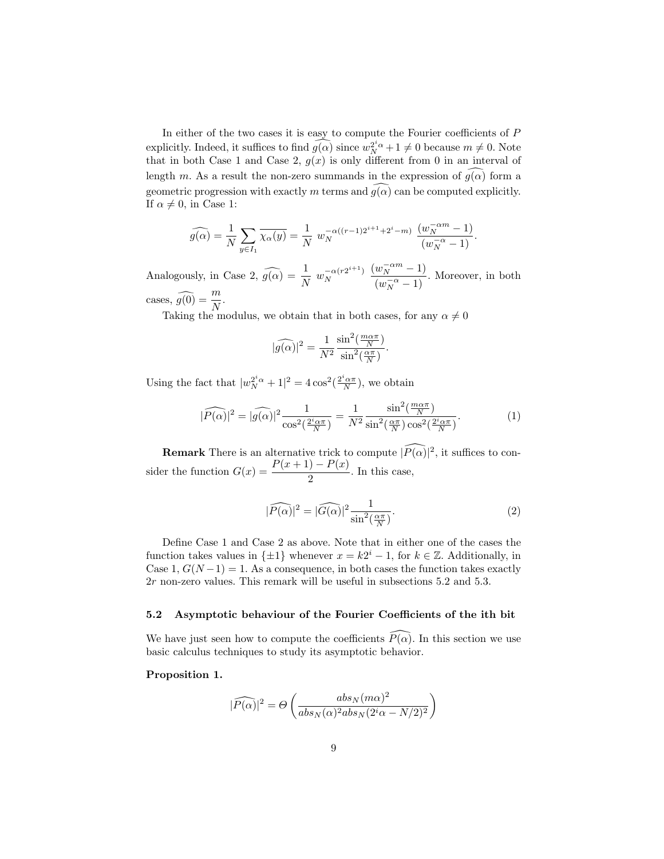In either of the two cases it is easy to compute the Fourier coefficients of P explicitly. Indeed, it suffices to find  $\widehat{g(\alpha)}$  since  $w_N^{2^i\alpha} + 1 \neq 0$  because  $m \neq 0$ . Note that in both Case 1 and Case 2,  $g(x)$  is only different from 0 in an interval of length m. As a result the non-zero summands in the expression of  $g(\alpha)$  form a geometric progression with exactly m terms and  $\widehat{g(\alpha)}$  can be computed explicitly. If  $\alpha \neq 0$ , in Case 1:

$$
\widehat{g(\alpha)} = \frac{1}{N} \sum_{y \in I_1} \overline{\chi_{\alpha}(y)} = \frac{1}{N} w_N^{-\alpha((r-1)2^{i+1} + 2^i - m)} \frac{(w_N^{-\alpha m} - 1)}{(w_N^{-\alpha} - 1)}.
$$

Analogously, in Case 2,  $\widehat{g(\alpha)} = \frac{1}{N} w_N^{-\alpha(r2^{i+1})}$ N  $(w_N^{-\alpha m} - 1)$  $\frac{w_N}{(w_N^{-\alpha}-1)}$ . Moreover, in both cases,  $\widehat{g(0)} = \frac{m}{N}$ .

Taking the modulus, we obtain that in both cases, for any  $\alpha \neq 0$ 

$$
|\widehat{g(\alpha)}|^2 = \frac{1}{N^2} \frac{\sin^2(\frac{m\alpha\pi}{N})}{\sin^2(\frac{\alpha\pi}{N})}.
$$

Using the fact that  $|w_N^{2^i\alpha} + 1|^2 = 4\cos^2(\frac{2^i\alpha\pi}{N})$ , we obtain

$$
|\widehat{P(\alpha)}|^2 = |\widehat{g(\alpha)}|^2 \frac{1}{\cos^2(\frac{2^i \alpha \pi}{N})} = \frac{1}{N^2} \frac{\sin^2(\frac{m \alpha \pi}{N})}{\sin^2(\frac{\alpha \pi}{N}) \cos^2(\frac{2^i \alpha \pi}{N})}.
$$
 (1)

**Remark** There is an alternative trick to compute  $|\widehat{P}(\alpha)|^2$ , it suffices to consider the function  $G(x) = \frac{P(x+1) - P(x)}{2}$ . In this case,

$$
|\widehat{P(\alpha)}|^2 = |\widehat{G(\alpha)}|^2 \frac{1}{\sin^2(\frac{\alpha \pi}{N})}.\tag{2}
$$

Define Case 1 and Case 2 as above. Note that in either one of the cases the function takes values in  $\{\pm 1\}$  whenever  $x = k2^i - 1$ , for  $k \in \mathbb{Z}$ . Additionally, in Case 1,  $G(N-1) = 1$ . As a consequence, in both cases the function takes exactly 2r non-zero values. This remark will be useful in subsections 5.2 and 5.3.

# 5.2 Asymptotic behaviour of the Fourier Coefficients of the ith bit

We have just seen how to compute the coefficients  $P(\alpha)$ . In this section we use basic calculus techniques to study its asymptotic behavior.

## Proposition 1.

$$
|\widehat{P(\alpha)}|^2=\Theta\left(\frac{abs_N(m\alpha)^2}{abs_N(\alpha)^2abs_N(2^i\alpha-N/2)^2}\right)
$$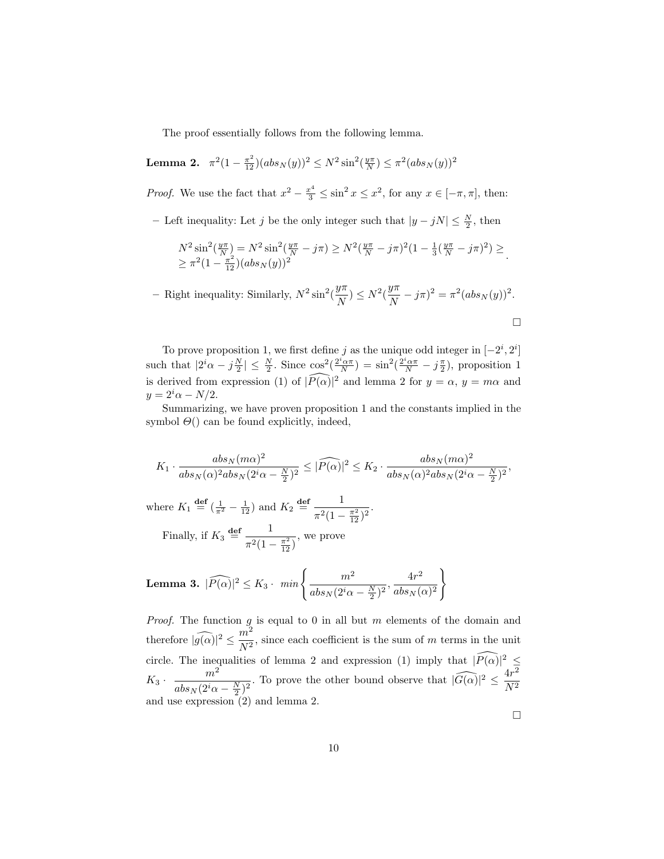The proof essentially follows from the following lemma.

**Lemma 2.** 
$$
\pi^2(1-\frac{\pi^2}{12})(abs_N(y))^2 \leq N^2 \sin^2(\frac{y\pi}{N}) \leq \pi^2 (abs_N(y))^2
$$

*Proof.* We use the fact that  $x^2 - \frac{x^4}{3} \leq \sin^2 x \leq x^2$ , for any  $x \in [-\pi, \pi]$ , then:

– Left inequality: Let j be the only integer such that  $|y - jN|$  ≤  $\frac{N}{2}$ , then

$$
N^2 \sin^2(\frac{y\pi}{N}) = N^2 \sin^2(\frac{y\pi}{N} - j\pi) \ge N^2(\frac{y\pi}{N} - j\pi)^2 (1 - \frac{1}{3}(\frac{y\pi}{N} - j\pi)^2) \ge \frac{N^2(1 - \frac{\pi^2}{12})(abs_N(y))^2}.
$$

- Right inequality: Similarly,  $N^2 \sin^2(\frac{y\pi}{N})$  $\frac{y\pi}{N}$ )  $\leq N^2(\frac{y\pi}{N})$  $\frac{g''}{N} - j\pi)^2 = \pi^2 (abs_N(y))^2.$ 

To prove proposition 1, we first define j as the unique odd integer in  $[-2^i, 2^i]$ such that  $|2^i\alpha - j\frac{N}{2}| \leq \frac{N}{2}$ . Since  $\cos^2(\frac{2^i\alpha\pi}{N}) = \sin^2(\frac{2^i\alpha\pi}{N} - j\frac{\pi}{2})$ , proposition 1 is derived from expression (1) of  $|\widehat{P(\alpha)}|^2$  and lemma 2 for  $y = \alpha$ ,  $y = m\alpha$  and  $y = 2^i \alpha - N/2.$ 

Summarizing, we have proven proposition 1 and the constants implied in the symbol  $\Theta$ () can be found explicitly, indeed,

$$
K_1 \cdot \frac{abs_N(m\alpha)^2}{abs_N(\alpha)^2abs_N(2^i\alpha-\frac{N}{2})^2} \leq |\widehat{P(\alpha)}|^2 \leq K_2 \cdot \frac{abs_N(m\alpha)^2}{abs_N(\alpha)^2abs_N(2^i\alpha-\frac{N}{2})^2},
$$

where  $K_1 \stackrel{\text{def}}{=} (\frac{1}{\pi^2} - \frac{1}{12})$  and  $K_2 \stackrel{\text{def}}{=} \frac{1}{\pi^2(1)}$  $\frac{1}{\pi^2(1-\frac{\pi^2}{12})^2}$ . Finally, if  $K_3 \stackrel{\text{def}}{=} \frac{1}{2(1)}$  $\pi^2(1-\frac{\pi^2}{12})$ , we prove

**Lemma 3.** 
$$
|\widehat{P(\alpha)}|^2 \le K_3 \cdot min \left\{ \frac{m^2}{abs_N(2^i\alpha - \frac{N}{2})^2}, \frac{4r^2}{abs_N(\alpha)^2} \right\}
$$

*Proof.* The function  $g_i$  is equal to 0 in all but m elements of the domain and therefore  $|\widehat{g(\alpha)}|^2 \leq \frac{m^2}{N^2}$  $\frac{m}{N^2}$ , since each coefficient is the sum of m terms in the unit circle. The inequalities of lemma 2 and expression (1) imply that  $|\widehat{P(\alpha)}|^2 \leq$  $K_3 \cdot \frac{m^2}{1 - \omega}$  $\frac{m^2}{abs_N(2^i\alpha - \frac{N}{2})^2}$ . To prove the other bound observe that  $|\widehat{G(\alpha)}|^2 \le \frac{4r^2}{N^2}$  $N^2$ and use expression (2) and lemma 2.

 $\Box$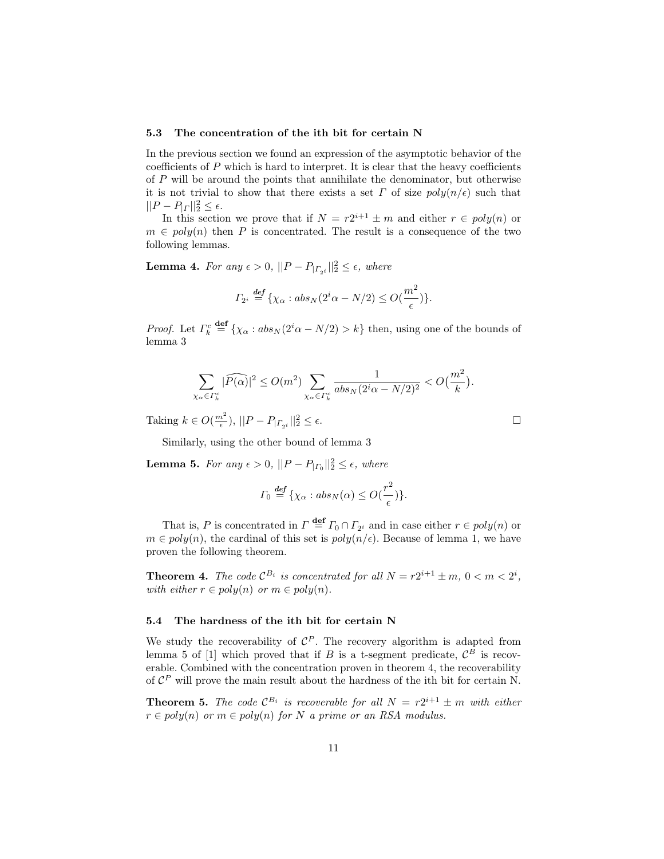#### 5.3 The concentration of the ith bit for certain N

In the previous section we found an expression of the asymptotic behavior of the coefficients of  $P$  which is hard to interpret. It is clear that the heavy coefficients of  $P$  will be around the points that annihilate the denominator, but otherwise it is not trivial to show that there exists a set  $\Gamma$  of size  $poly(n/\epsilon)$  such that  $||P - P_{|r}||_2^2 \leq \epsilon.$ 

In this section we prove that if  $N = r2^{i+1} \pm m$  and either  $r \in poly(n)$  or  $m \in poly(n)$  then P is concentrated. The result is a consequence of the two following lemmas.

**Lemma 4.** For any  $\epsilon > 0$ ,  $||P - P_{| \Gamma_{2} i}||_2^2 \leq \epsilon$ , where

$$
\Gamma_{2^i} \stackrel{\text{def}}{=} \{ \chi_{\alpha} : abs_N(2^i \alpha - N/2) \le O(\frac{m^2}{\epsilon}) \}.
$$

*Proof.* Let  $\Gamma_k^c \stackrel{\text{def}}{=} {\chi_\alpha : abs_N(2^i\alpha - N/2) > k}$  then, using one of the bounds of lemma 3

$$
\sum_{\chi_{\alpha} \in \varGamma_k^c} |\widehat{P(\alpha)}|^2 \le O(m^2) \sum_{\chi_{\alpha} \in \varGamma_k^c} \frac{1}{abs_N(2^i\alpha - N/2)^2} < O\left(\frac{m^2}{k}\right).
$$

Taking  $k \in O(\frac{m^2}{\epsilon}), ||P - P_{| \Gamma_{2i}}||_2^2 \le \epsilon.$ 

Similarly, using the other bound of lemma 3

**Lemma 5.** For any  $\epsilon > 0$ ,  $||P - P_{|P_0}||_2^2 \leq \epsilon$ , where

$$
\Gamma_0 \stackrel{\text{def}}{=} \{ \chi_\alpha : abs_N(\alpha) \le O(\frac{r^2}{\epsilon}) \}.
$$

That is, P is concentrated in  $\Gamma \stackrel{\text{def}}{=} \Gamma_0 \cap \Gamma_{2^i}$  and in case either  $r \in poly(n)$  or  $m \in \text{poly}(n)$ , the cardinal of this set is  $\text{poly}(n/\epsilon)$ . Because of lemma 1, we have proven the following theorem.

**Theorem 4.** The code  $\mathcal{C}^{B_i}$  is concentrated for all  $N = r2^{i+1} \pm m$ ,  $0 < m < 2^i$ , with either  $r \in poly(n)$  or  $m \in poly(n)$ .

#### 5.4 The hardness of the ith bit for certain N

We study the recoverability of  $\mathcal{C}^P$ . The recovery algorithm is adapted from lemma 5 of [1] which proved that if B is a t-segment predicate,  $\mathcal{C}^B$  is recoverable. Combined with the concentration proven in theorem 4, the recoverability of  $\mathcal{C}^P$  will prove the main result about the hardness of the ith bit for certain N.

**Theorem 5.** The code  $\mathcal{C}^{B_i}$  is recoverable for all  $N = r2^{i+1} \pm m$  with either  $r \in poly(n)$  or  $m \in poly(n)$  for N a prime or an RSA modulus.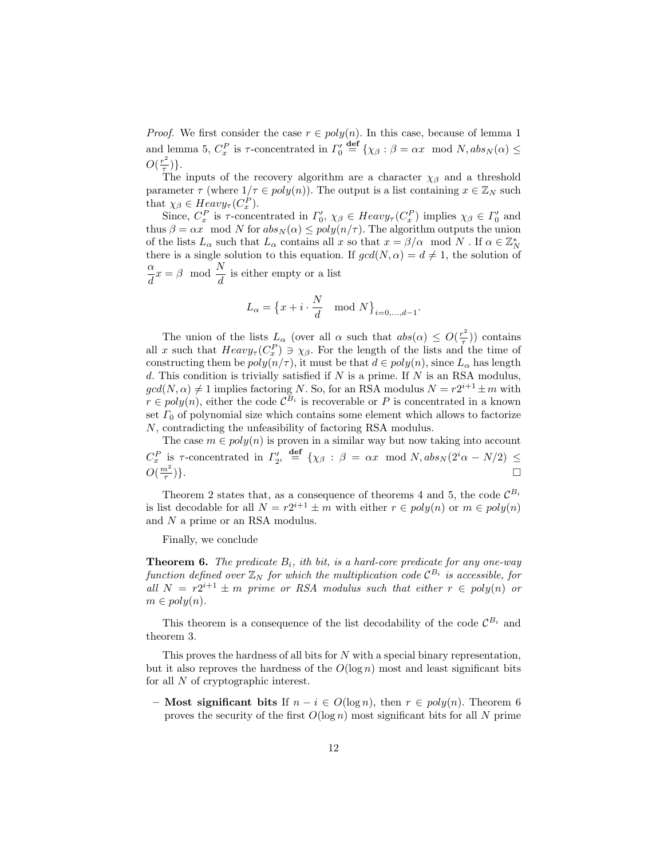*Proof.* We first consider the case  $r \in poly(n)$ . In this case, because of lemma 1 and lemma 5,  $C_x^P$  is  $\tau$ -concentrated in  $\Gamma'_0 \stackrel{\text{def}}{=} {\{\chi_{\beta} : \beta = \alpha x \mod N, abs_N(\alpha) \leq \alpha\}}$  $O(\frac{r^2}{\tau})$  $\frac{1}{\tau})\}.$ 

The inputs of the recovery algorithm are a character  $\chi_{\beta}$  and a threshold parameter  $\tau$  (where  $1/\tau \in poly(n)$ ). The output is a list containing  $x \in \mathbb{Z}_N$  such that  $\chi_{\beta} \in Heavy_{\tau}(C_x^P)$ .

Since,  $C_x^P$  is  $\tau$ -concentrated in  $\Gamma'_0$ ,  $\chi_{\beta} \in Heavy_\tau(C_x^P)$  implies  $\chi_{\beta} \in \Gamma'_0$  and thus  $\beta = \alpha x \mod N$  for  $abs_N(\alpha) \leq poly(n/\tau)$ . The algorithm outputs the union of the lists  $L_\alpha$  such that  $L_\alpha$  contains all x so that  $x = \beta/\alpha \mod N$  . If  $\alpha \in \mathbb{Z}_N^*$ there is a single solution to this equation. If  $gcd(N, \alpha) = d \neq 1$ , the solution of α  $\frac{\alpha}{d}x = \beta \mod \frac{N}{d}$  is either empty or a list

$$
L_{\alpha} = \left\{ x + i \cdot \frac{N}{d} \mod N \right\}_{i=0,\dots,d-1}.
$$

The union of the lists  $L_{\alpha}$  (over all  $\alpha$  such that  $abs(\alpha) \leq O(\frac{r^2}{\tau})$ ) contains all x such that  $Heavy_{\tau}(C_{x}^{P}) \ni \chi_{\beta}$ . For the length of the lists and the time of constructing them be  $poly(n/\tau)$ , it must be that  $d \in poly(n)$ , since  $L_{\alpha}$  has length d. This condition is trivially satisfied if  $N$  is a prime. If  $N$  is an RSA modulus,  $gcd(N, \alpha) \neq 1$  implies factoring N. So, for an RSA modulus  $N = r2^{i+1} \pm m$  with  $r \in poly(n)$ , either the code  $\mathcal{C}^{B_i}$  is recoverable or P is concentrated in a known set  $\Gamma_0$  of polynomial size which contains some element which allows to factorize N, contradicting the unfeasibility of factoring RSA modulus.

The case  $m \in poly(n)$  is proven in a similar way but now taking into account  $C_x^P$  is  $\tau$ -concentrated in  $\Gamma'_{2^i}$  def  $\{\chi_\beta: \beta = \alpha x \mod N, abs_N(2^i\alpha - N/2) \leq$  $O(\frac{m^2}{\tau})$ )}.

Theorem 2 states that, as a consequence of theorems 4 and 5, the code  $\mathcal{C}^{B_i}$ is list decodable for all  $N = r2^{i+1} \pm m$  with either  $r \in poly(n)$  or  $m \in poly(n)$ and N a prime or an RSA modulus.

Finally, we conclude

**Theorem 6.** The predicate  $B_i$ , ith bit, is a hard-core predicate for any one-way function defined over  $\mathbb{Z}_N$  for which the multiplication code  $\mathcal{C}^{B_i}$  is accessible, for all  $N = r2^{i+1} \pm m$  prime or RSA modulus such that either  $r \in poly(n)$  or  $m \in poly(n)$ .

This theorem is a consequence of the list decodability of the code  $\mathcal{C}^{B_i}$  and theorem 3.

This proves the hardness of all bits for N with a special binary representation, but it also reproves the hardness of the  $O(\log n)$  most and least significant bits for all N of cryptographic interest.

– Most significant bits If  $n - i \in O(\log n)$ , then  $r \in poly(n)$ . Theorem 6 proves the security of the first  $O(\log n)$  most significant bits for all N prime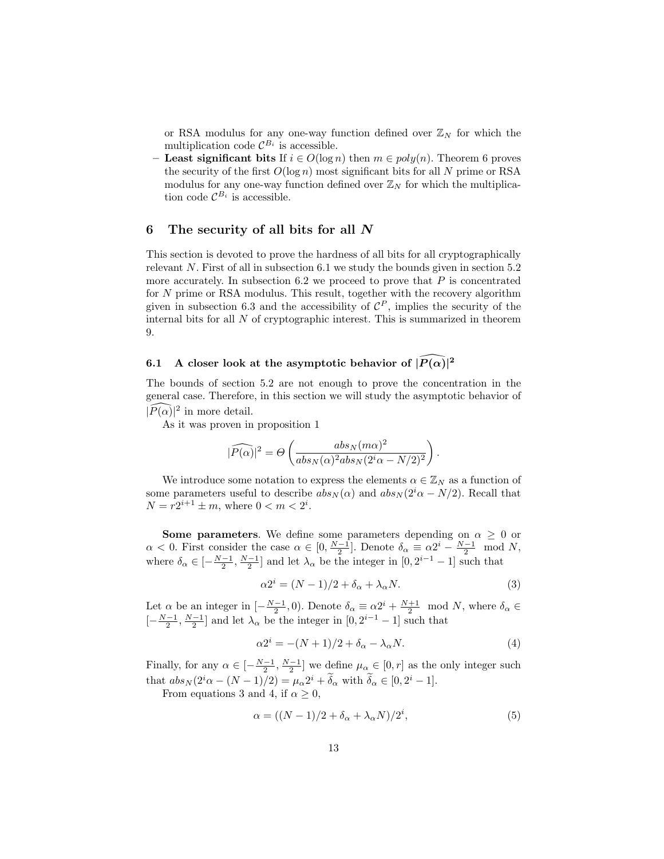or RSA modulus for any one-way function defined over  $\mathbb{Z}_N$  for which the multiplication code  $\mathcal{C}^{B_i}$  is accessible.

**Least significant bits** If  $i \in O(\log n)$  then  $m \in poly(n)$ . Theorem 6 proves the security of the first  $O(\log n)$  most significant bits for all N prime or RSA modulus for any one-way function defined over  $\mathbb{Z}_N$  for which the multiplication code  $\mathcal{C}^{B_i}$  is accessible.

# 6 The security of all bits for all N

This section is devoted to prove the hardness of all bits for all cryptographically relevant  $N$ . First of all in subsection 6.1 we study the bounds given in section 5.2 more accurately. In subsection 6.2 we proceed to prove that  $P$  is concentrated for N prime or RSA modulus. This result, together with the recovery algorithm given in subsection 6.3 and the accessibility of  $\mathcal{C}^P$ , implies the security of the internal bits for all  $N$  of cryptographic interest. This is summarized in theorem 9.

# 6.1 A closer look at the asymptotic behavior of  $\widehat{|P(\alpha)|^2}$

The bounds of section 5.2 are not enough to prove the concentration in the general case. Therefore, in this section we will study the asymptotic behavior of  $|\widehat{P(\alpha)}|^2$  in more detail.

As it was proven in proposition 1

$$
|\widehat{P(\alpha)}|^2 = \Theta\left(\frac{abs_N(m\alpha)^2}{abs_N(\alpha)^2abs_N(2^i\alpha - N/2)^2}\right).
$$

We introduce some notation to express the elements  $\alpha \in \mathbb{Z}_N$  as a function of some parameters useful to describe  $abs_N(\alpha)$  and  $abs_N(2^i\alpha - N/2)$ . Recall that  $N = r2^{i+1} \pm m$ , where  $0 < m < 2^i$ .

**Some parameters**. We define some parameters depending on  $\alpha \geq 0$  or  $\alpha < 0$ . First consider the case  $\alpha \in [0, \frac{N-1}{2}]$ . Denote  $\delta_{\alpha} \equiv \alpha 2^{i} - \frac{N-1}{2} \mod N$ , where  $\delta_{\alpha} \in \left[-\frac{N-1}{2}, \frac{N-1}{2}\right]$  and let  $\lambda_{\alpha}$  be the integer in  $[0, 2^{i-1} - 1]$  such that

$$
\alpha 2^i = (N - 1)/2 + \delta_\alpha + \lambda_\alpha N. \tag{3}
$$

Let  $\alpha$  be an integer in  $\left[-\frac{N-1}{2},0\right)$ . Denote  $\delta_{\alpha} \equiv \alpha 2^{i} + \frac{N+1}{2} \mod N$ , where  $\delta_{\alpha} \in$  $\left[-\frac{N-1}{2}, \frac{N-1}{2}\right]$  and let  $\lambda_{\alpha}$  be the integer in  $[0, 2^{i-1} - 1]$  such that

$$
\alpha 2^i = -(N+1)/2 + \delta_\alpha - \lambda_\alpha N. \tag{4}
$$

Finally, for any  $\alpha \in \left[-\frac{N-1}{2}, \frac{N-1}{2}\right]$  we define  $\mu_{\alpha} \in [0, r]$  as the only integer such that  $abs_N(2^i\alpha - (N-1)/2) = \mu_\alpha 2^i + \delta_\alpha$  with  $\delta_\alpha \in [0, 2^i - 1]$ .

From equations 3 and 4, if  $\alpha \geq 0$ ,

$$
\alpha = ((N-1)/2 + \delta_{\alpha} + \lambda_{\alpha} N)/2^{i}, \qquad (5)
$$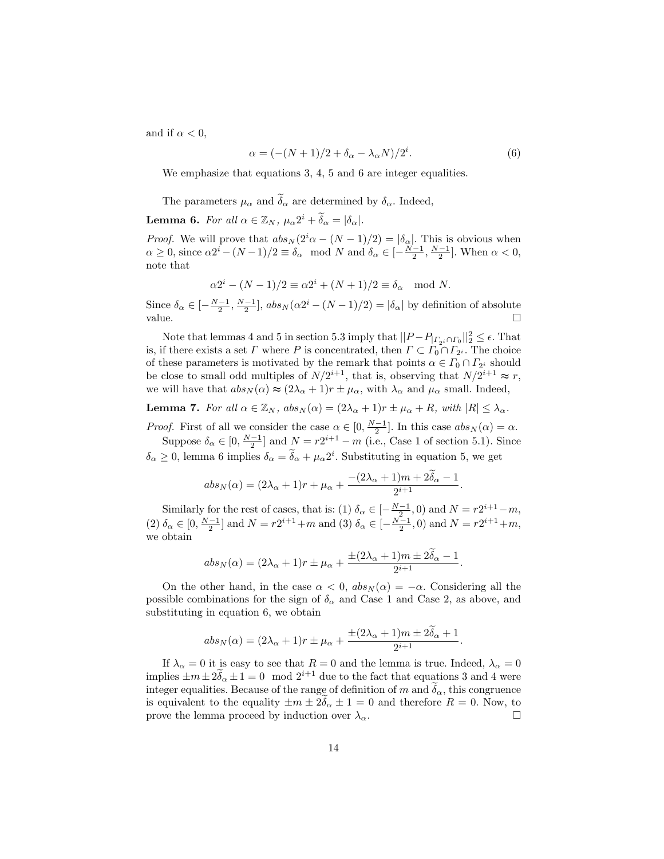and if  $\alpha < 0$ ,

$$
\alpha = (-(N+1)/2 + \delta_{\alpha} - \lambda_{\alpha} N)/2^{i}.
$$
\n(6)

We emphasize that equations 3, 4, 5 and 6 are integer equalities.

The parameters  $\mu_{\alpha}$  and  $\tilde{\delta}_{\alpha}$  are determined by  $\delta_{\alpha}$ . Indeed,

**Lemma 6.** For all  $\alpha \in \mathbb{Z}_N$ ,  $\mu_{\alpha} 2^i + \widetilde{\delta}_{\alpha} = |\delta_{\alpha}|$ .

*Proof.* We will prove that  $abs_N(2^i\alpha - (N-1)/2) = |\delta_{\alpha}|$ . This is obvious when  $\alpha \geq 0$ , since  $\alpha 2^{i} - (N-1)/2 \equiv \delta_{\alpha} \mod N$  and  $\delta_{\alpha} \in \left[-\frac{N-1}{2}, \frac{N-1}{2}\right]$ . When  $\alpha < 0$ , note that

$$
\alpha 2^{i} - (N - 1)/2 \equiv \alpha 2^{i} + (N + 1)/2 \equiv \delta_{\alpha} \mod N.
$$

Since  $\delta_{\alpha} \in \left[-\frac{N-1}{2}, \frac{N-1}{2}\right]$ ,  $abs_N(\alpha 2^i - (N-1)/2) = |\delta_{\alpha}|$  by definition of absolute value.  $\Box$ 

Note that lemmas 4 and 5 in section 5.3 imply that  $||P-P_{|_{\Gamma_{2}i} \cap \Gamma_0}||_2^2 \leq \epsilon$ . That is, if there exists a set  $\Gamma$  where  $P$  is concentrated, then  $\Gamma \subset \Gamma_0 \cap \Gamma_{2^i}$ . The choice of these parameters is motivated by the remark that points  $\alpha \in \Gamma_0 \cap \Gamma_{2^i}$  should be close to small odd multiples of  $N/2^{i+1}$ , that is, observing that  $N/2^{i+1} \approx r$ , we will have that  $abs_N(\alpha) \approx (2\lambda_\alpha + 1)r \pm \mu_\alpha$ , with  $\lambda_\alpha$  and  $\mu_\alpha$  small. Indeed,

**Lemma 7.** For all  $\alpha \in \mathbb{Z}_N$ ,  $abs_N(\alpha) = (2\lambda_{\alpha} + 1)r \pm \mu_{\alpha} + R$ , with  $|R| \leq \lambda_{\alpha}$ .

*Proof.* First of all we consider the case  $\alpha \in [0, \frac{N-1}{2}]$ . In this case  $abs_N(\alpha) = \alpha$ . Suppose  $\delta_{\alpha} \in [0, \frac{N-1}{2}]$  and  $N = r2^{i+1} - m$  (i.e., Case 1 of section 5.1). Since

 $\delta_{\alpha} \ge 0$ , lemma 6 implies  $\delta_{\alpha} = \tilde{\delta}_{\alpha} + \mu_{\alpha} 2^{i}$ . Substituting in equation 5, we get

$$
abs_N(\alpha) = (2\lambda_{\alpha} + 1)r + \mu_{\alpha} + \frac{-(2\lambda_{\alpha} + 1)m + 2\delta_{\alpha} - 1}{2^{i+1}}.
$$

Similarly for the rest of cases, that is: (1)  $\delta_{\alpha} \in [-\frac{N-1}{2}, 0)$  and  $N = r2^{i+1} - m$ , (2)  $\delta_{\alpha} \in [0, \frac{N-1}{2}]$  and  $N = r2^{i+1} + m$  and (3)  $\delta_{\alpha} \in [-\frac{N-1}{2}, 0)$  and  $N = r2^{i+1} + m$ , we obtain

$$
abs_N(\alpha) = (2\lambda_{\alpha} + 1)r \pm \mu_{\alpha} + \frac{\pm (2\lambda_{\alpha} + 1)m \pm 2\widetilde{\delta}_{\alpha} - 1}{2^{i+1}}.
$$

On the other hand, in the case  $\alpha < 0$ ,  $abs_N(\alpha) = -\alpha$ . Considering all the possible combinations for the sign of  $\delta_{\alpha}$  and Case 1 and Case 2, as above, and substituting in equation 6, we obtain

$$
abs_N(\alpha) = (2\lambda_{\alpha} + 1)r \pm \mu_{\alpha} + \frac{\pm (2\lambda_{\alpha} + 1)m \pm 2\delta_{\alpha} + 1}{2^{i+1}}.
$$

If  $\lambda_{\alpha} = 0$  it is easy to see that  $R = 0$  and the lemma is true. Indeed,  $\lambda_{\alpha} = 0$ implies  $\pm m\pm 2\widetilde{\delta}_\alpha \pm 1=0 \mod 2^{i+1}$  due to the fact that equations 3 and 4 were integer equalities. Because of the range of definition of m and  $\delta_{\alpha}$ , this congruence is equivalent to the equality  $\pm m \pm 2\delta_{\alpha} \pm 1 = 0$  and therefore  $R = 0$ . Now, to prove the lemma proceed by induction over  $\lambda_{\alpha}$ . prove the lemma proceed by induction over  $\lambda_{\alpha}$ .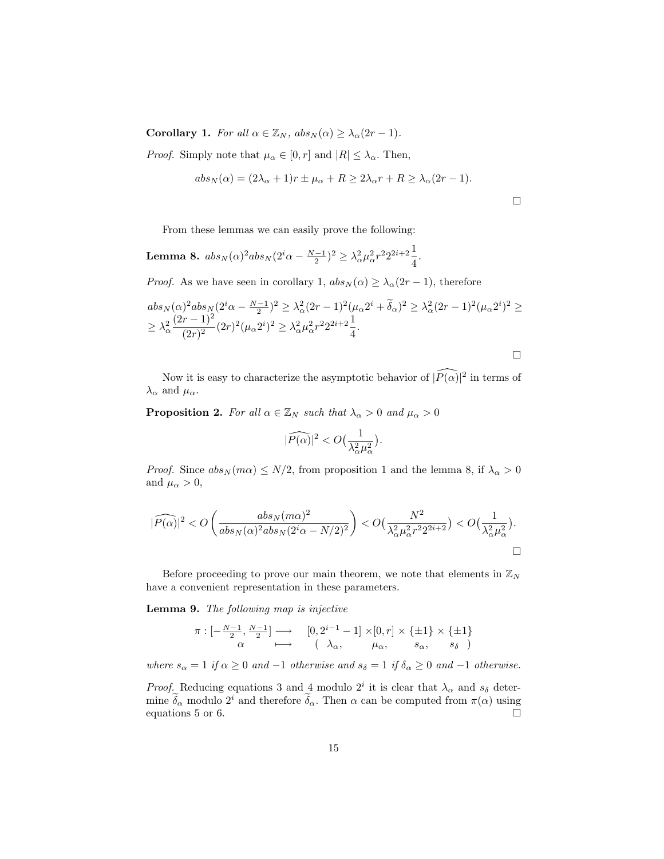**Corollary 1.** For all  $\alpha \in \mathbb{Z}_N$ ,  $abs_N(\alpha) \geq \lambda_\alpha(2r-1)$ .

*Proof.* Simply note that  $\mu_{\alpha} \in [0, r]$  and  $|R| \leq \lambda_{\alpha}$ . Then,

$$
abs_N(\alpha) = (2\lambda_{\alpha} + 1)r \pm \mu_{\alpha} + R \ge 2\lambda_{\alpha}r + R \ge \lambda_{\alpha}(2r - 1).
$$

From these lemmas we can easily prove the following:

Lemma 8.  $abs_N(\alpha)^2abs_N(2^i\alpha-\frac{N-1}{2})^2\geq \lambda_\alpha^2\mu_\alpha^2r^22^{2i+2}\frac{1}{4}$  $\frac{1}{4}$ .

*Proof.* As we have seen in corollary 1,  $abs_N(\alpha) \geq \lambda_\alpha(2r-1)$ , therefore

$$
abs_N(\alpha)^2 abs_N(2^i \alpha - \frac{N-1}{2})^2 \geq \lambda_\alpha^2 (2r-1)^2 (\mu_\alpha 2^i + \widetilde{\delta}_\alpha)^2 \geq \lambda_\alpha^2 (2r-1)^2 (\mu_\alpha 2^i)^2 \geq
$$
  
 
$$
\geq \lambda_\alpha^2 \frac{(2r-1)^2}{(2r)^2} (2r)^2 (\mu_\alpha 2^i)^2 \geq \lambda_\alpha^2 \mu_\alpha^2 r^2 2^{2i+2} \frac{1}{4}.
$$

$$
\Box
$$

Now it is easy to characterize the asymptotic behavior of  $\widehat{P(\alpha)}^2$  in terms of  $\lambda_{\alpha}$  and  $\mu_{\alpha}$ .

**Proposition 2.** For all  $\alpha \in \mathbb{Z}_N$  such that  $\lambda_{\alpha} > 0$  and  $\mu_{\alpha} > 0$ 

$$
|\widehat{P(\alpha)}|^2 < O\big(\frac{1}{\lambda_\alpha^2\mu_\alpha^2}\big).
$$

*Proof.* Since  $abs_N(m\alpha) \leq N/2$ , from proposition 1 and the lemma 8, if  $\lambda_{\alpha} > 0$ and  $\mu_{\alpha} > 0$ ,

$$
|\widehat{P(\alpha)}|^2 < O\left(\frac{abs_N(m\alpha)^2}{abs_N(\alpha)^2abs_N(2^i\alpha-N/2)^2}\right) < O\big(\frac{N^2}{\lambda_\alpha^2\mu_\alpha^2r^22^{2i+2}}\big) < O\big(\frac{1}{\lambda_\alpha^2\mu_\alpha^2}\big).
$$

Before proceeding to prove our main theorem, we note that elements in  $\mathbb{Z}_N$ have a convenient representation in these parameters.

Lemma 9. The following map is injective

$$
\pi: [-\frac{N-1}{2}, \frac{N-1}{2}] \longrightarrow [0, 2^{i-1} - 1] \times [0, r] \times \{\pm 1\} \times \{\pm 1\}
$$
  
 $\alpha \longmapsto (\lambda_{\alpha}, \mu_{\alpha}, s_{\alpha}, s_{\delta})$ 

where  $s_{\alpha} = 1$  if  $\alpha \geq 0$  and  $-1$  otherwise and  $s_{\delta} = 1$  if  $\delta_{\alpha} \geq 0$  and  $-1$  otherwise.

*Proof.* Reducing equations 3 and 4 modulo  $2^i$  it is clear that  $\lambda_{\alpha}$  and  $s_{\delta}$  determine  $\tilde{\delta}_{\alpha}$  modulo 2<sup>*i*</sup> and therefore  $\tilde{\delta}_{\alpha}$ . Then  $\alpha$  can be computed from  $\pi(\alpha)$  using equations 5 or 6. equations 5 or 6.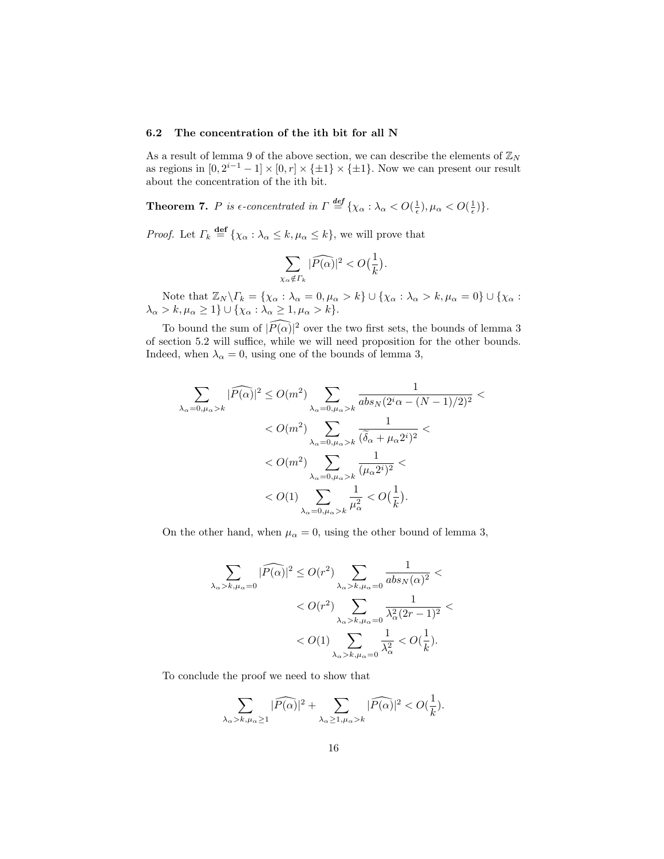## 6.2 The concentration of the ith bit for all N

As a result of lemma 9 of the above section, we can describe the elements of  $\mathbb{Z}_N$ as regions in  $[0, 2^{i-1} - 1] \times [0, r] \times {\pm 1} \times {\pm 1}$ . Now we can present our result about the concentration of the ith bit.

**Theorem 7.** P is  $\epsilon$ -concentrated in  $\Gamma \stackrel{\text{def}}{=} {\{\chi_{\alpha} : \lambda_{\alpha} < O(\frac{1}{\epsilon}), \mu_{\alpha} < O(\frac{1}{\epsilon})\}}.$ 

*Proof.* Let  $\Gamma_k \stackrel{\text{def}}{=} {\chi_\alpha : \lambda_\alpha \leq k, \mu_\alpha \leq k}$ , we will prove that

$$
\sum_{\chi_{\alpha} \notin \Gamma_k} |\widehat{P(\alpha)}|^2 < O\left(\frac{1}{k}\right).
$$

Note that  $\mathbb{Z}_N \backslash \Gamma_k = \{ \chi_\alpha : \lambda_\alpha = 0, \mu_\alpha > k \} \cup \{ \chi_\alpha : \lambda_\alpha > k, \mu_\alpha = 0 \} \cup \{ \chi_\alpha : \chi_\alpha = k \}$  $\lambda_{\alpha} > k, \mu_{\alpha} \geq 1$ }  $\cup$  { $\chi_{\alpha} : \lambda_{\alpha} \geq 1, \mu_{\alpha} > k$  }.

To bound the sum of  $\widehat{P(\alpha)}^2$  over the two first sets, the bounds of lemma 3 of section 5.2 will suffice, while we will need proposition for the other bounds. Indeed, when  $\lambda_{\alpha} = 0$ , using one of the bounds of lemma 3,

$$
\sum_{\lambda_{\alpha}=0,\mu_{\alpha}>k} |\widehat{P(\alpha)}|^2 \le O(m^2) \sum_{\lambda_{\alpha}=0,\mu_{\alpha}>k} \frac{1}{abs_N(2^i\alpha - (N-1)/2)^2} \n< O(m^2) \sum_{\lambda_{\alpha}=0,\mu_{\alpha}>k} \frac{1}{(\widetilde{\delta}_{\alpha} + \mu_{\alpha}2^i)^2} \n< O(m^2) \sum_{\lambda_{\alpha}=0,\mu_{\alpha}>k} \frac{1}{(\mu_{\alpha}2^i)^2} \n< O(1) \sum_{\lambda_{\alpha}=0,\mu_{\alpha}>k} \frac{1}{\mu_{\alpha}^2} < O(\frac{1}{k}).
$$

On the other hand, when  $\mu_{\alpha} = 0$ , using the other bound of lemma 3,

$$
\begin{split} \sum_{\lambda_{\alpha}>k, \mu_{\alpha}=0}|\widehat{P(\alpha)}|^2 &\leq O(r^2)\sum_{\lambda_{\alpha}>k, \mu_{\alpha}=0}\frac{1}{abs_N(\alpha)^2} < \\ &< O(r^2)\sum_{\lambda_{\alpha}>k, \mu_{\alpha}=0}\frac{1}{\lambda_{\alpha}^2(2r-1)^2} < \\ &< O(1)\sum_{\lambda_{\alpha}>k, \mu_{\alpha}=0}\frac{1}{\lambda_{\alpha}^2} < O(\frac{1}{k}). \end{split}
$$

To conclude the proof we need to show that

$$
\sum_{\lambda_{\alpha} > k, \mu_{\alpha} \ge 1} |\widehat{P(\alpha)}|^2 + \sum_{\lambda_{\alpha} \ge 1, \mu_{\alpha} > k} |\widehat{P(\alpha)}|^2 < O(\frac{1}{k}).
$$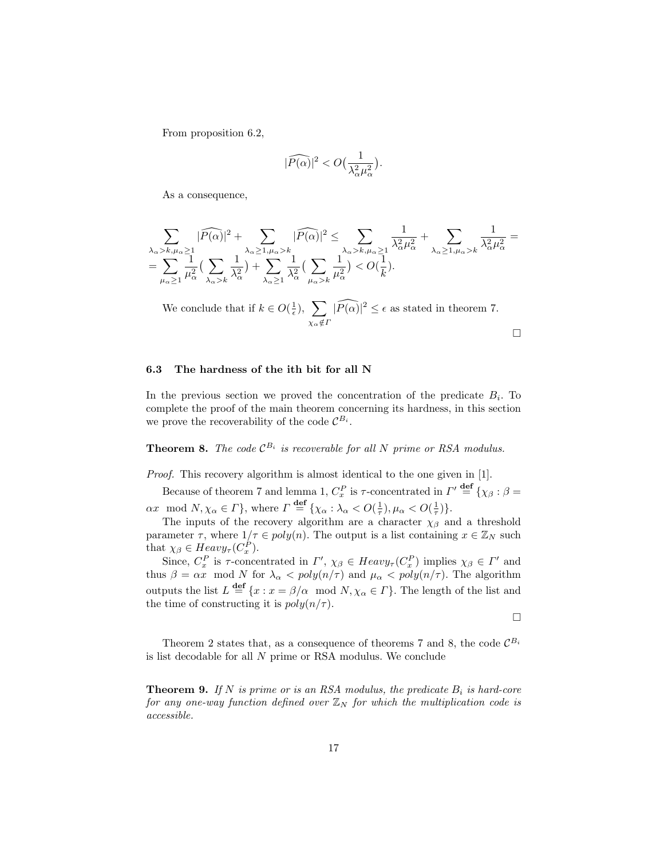From proposition 6.2,

$$
|\widehat{P(\alpha)}|^2 < O\big(\frac{1}{\lambda_\alpha^2\mu_\alpha^2}\big).
$$

As a consequence,

$$
\sum_{\substack{\lambda_{\alpha} > k, \mu_{\alpha} \geq 1 \\ \lambda_{\alpha} \geq 1}} |\widehat{P(\alpha)}|^2 + \sum_{\substack{\lambda_{\alpha} \geq 1, \mu_{\alpha} > k \\ \lambda_{\alpha} \geq 1}} |\widehat{P(\alpha)}|^2 \leq \sum_{\substack{\lambda_{\alpha} > k, \mu_{\alpha} \geq 1 \\ \lambda_{\alpha} \geq k, \mu_{\alpha} \geq 1}} \frac{1}{\lambda_{\alpha}^2 \mu_{\alpha}^2} + \sum_{\lambda_{\alpha} \geq 1, \mu_{\alpha} > k} \frac{1}{\lambda_{\alpha}^2 \mu_{\alpha}^2} = \sum_{\mu_{\alpha} \geq 1} \frac{1}{\mu_{\alpha}^2} (\sum_{\mu_{\alpha} > k} \frac{1}{\mu_{\alpha}^2}) < O(\frac{1}{k}).
$$

We conclude that if  $k \in O(\frac{1}{\epsilon}), \sum$  $\chi_{\alpha}$ ∉Γ  $|\widehat{P(\alpha)}|^2 \leq \epsilon$  as stated in theorem 7.  $\Box$ 

# 6.3 The hardness of the ith bit for all N

In the previous section we proved the concentration of the predicate  $B_i$ . To complete the proof of the main theorem concerning its hardness, in this section we prove the recoverability of the code  $\mathcal{C}^{B_i}$ .

**Theorem 8.** The code  $\mathcal{C}^{B_i}$  is recoverable for all N prime or RSA modulus.

Proof. This recovery algorithm is almost identical to the one given in [1].

Because of theorem 7 and lemma 1,  $C_x^P$  is  $\tau$ -concentrated in  $\Gamma' \stackrel{\text{def}}{=} {\{\chi_{\beta} : \beta = \text{const.}}\}$  $\alpha x \mod N, \chi_{\alpha} \in \Gamma$ , where  $\Gamma \stackrel{\text{def}}{=} {\chi_{\alpha} : \lambda_{\alpha} < O(\frac{1}{\tau})}, \mu_{\alpha} < O(\frac{1}{\tau})$ .

The inputs of the recovery algorithm are a character  $\chi_{\beta}$  and a threshold parameter  $\tau$ , where  $1/\tau \in poly(n)$ . The output is a list containing  $x \in \mathbb{Z}_N$  such that  $\chi_{\beta} \in Heavy_{\tau}(C_x^P)$ .

Since,  $C_x^P$  is  $\tau$ -concentrated in  $\Gamma'$ ,  $\chi_{\beta} \in Heavy_\tau(C_x^P)$  implies  $\chi_{\beta} \in \Gamma'$  and thus  $\beta = \alpha x \mod N$  for  $\lambda_{\alpha} < poly(n/\tau)$  and  $\mu_{\alpha} < poly(n/\tau)$ . The algorithm outputs the list  $L \stackrel{\text{def}}{=} \{x : x = \beta/\alpha \mod N, \chi_\alpha \in \Gamma\}$ . The length of the list and the time of constructing it is  $poly(n/\tau)$ .

 $\Box$ 

Theorem 2 states that, as a consequence of theorems 7 and 8, the code  $\mathcal{C}^{B_i}$ is list decodable for all N prime or RSA modulus. We conclude

**Theorem 9.** If N is prime or is an RSA modulus, the predicate  $B_i$  is hard-core for any one-way function defined over  $\mathbb{Z}_N$  for which the multiplication code is accessible.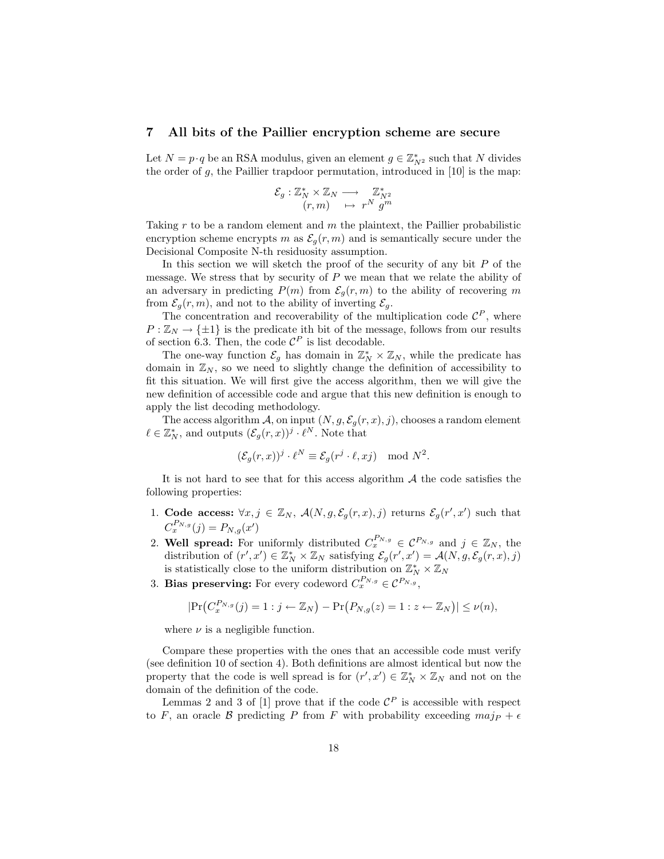### 7 All bits of the Paillier encryption scheme are secure

Let  $N = p \cdot q$  be an RSA modulus, given an element  $g \in \mathbb{Z}_{N^2}^*$  such that N divides the order of  $g$ , the Paillier trapdoor permutation, introduced in [10] is the map:

$$
\mathcal{E}_g: \mathbb{Z}_N^* \times \mathbb{Z}_N \longrightarrow \mathbb{Z}_{N^2}^* (r,m) \longrightarrow r^N g^m
$$

Taking  $r$  to be a random element and  $m$  the plaintext, the Paillier probabilistic encryption scheme encrypts m as  $\mathcal{E}_q(r,m)$  and is semantically secure under the Decisional Composite N-th residuosity assumption.

In this section we will sketch the proof of the security of any bit  $P$  of the message. We stress that by security of  $P$  we mean that we relate the ability of an adversary in predicting  $P(m)$  from  $\mathcal{E}_q(r,m)$  to the ability of recovering m from  $\mathcal{E}_g(r,m)$ , and not to the ability of inverting  $\mathcal{E}_g$ .

The concentration and recoverability of the multiplication code  $\mathcal{C}^P$ , where  $P : \mathbb{Z}_N \to {\{\pm 1\}}$  is the predicate ith bit of the message, follows from our results of section 6.3. Then, the code  $\mathcal{C}^P$  is list decodable.

The one-way function  $\mathcal{E}_g$  has domain in  $\mathbb{Z}_N^* \times \mathbb{Z}_N$ , while the predicate has domain in  $\mathbb{Z}_N$ , so we need to slightly change the definition of accessibility to fit this situation. We will first give the access algorithm, then we will give the new definition of accessible code and argue that this new definition is enough to apply the list decoding methodology.

The access algorithm A, on input  $(N, g, \mathcal{E}_g(r, x), j)$ , chooses a random element  $\ell \in \mathbb{Z}_N^*$ , and outputs  $(\mathcal{E}_g(r,x))^j \cdot \ell^N$ . Note that

$$
(\mathcal{E}_g(r,x))^j \cdot \ell^N \equiv \mathcal{E}_g(r^j \cdot \ell, xj) \mod N^2.
$$

It is not hard to see that for this access algorithm  $A$  the code satisfies the following properties:

- 1. Code access:  $\forall x, j \in \mathbb{Z}_N$ ,  $\mathcal{A}(N, g, \mathcal{E}_g(r, x), j)$  returns  $\mathcal{E}_g(r', x')$  such that  $C_x^{P_{N,g}}(j) = P_{N,g}(x')$
- 2. Well spread: For uniformly distributed  $C_x^{P_{N,g}} \in \mathcal{C}^{P_{N,g}}$  and  $j \in \mathbb{Z}_N$ , the distribution of  $(r', x') \in \mathbb{Z}_N^* \times \mathbb{Z}_N$  satisfying  $\mathcal{E}_g(r', x') = \mathcal{A}(N, g, \mathcal{E}_g(r, x), j)$ is statistically close to the uniform distribution on  $\mathbb{Z}_N^* \times \mathbb{Z}_N$
- 3. Bias preserving: For every codeword  $C_x^{P_{N,g}} \in \mathcal{C}^{P_{N,g}}$ ,

$$
|\Pr(C_x^{P_{N,g}}(j) = 1 : j \leftarrow \mathbb{Z}_N) - \Pr(P_{N,g}(z) = 1 : z \leftarrow \mathbb{Z}_N)| \leq \nu(n),
$$

where  $\nu$  is a negligible function.

Compare these properties with the ones that an accessible code must verify (see definition 10 of section 4). Both definitions are almost identical but now the property that the code is well spread is for  $(r', x') \in \mathbb{Z}_N^* \times \mathbb{Z}_N$  and not on the domain of the definition of the code.

Lemmas 2 and 3 of [1] prove that if the code  $\mathcal{C}^P$  is accessible with respect to F, an oracle B predicting P from F with probability exceeding  $maj_P + \epsilon$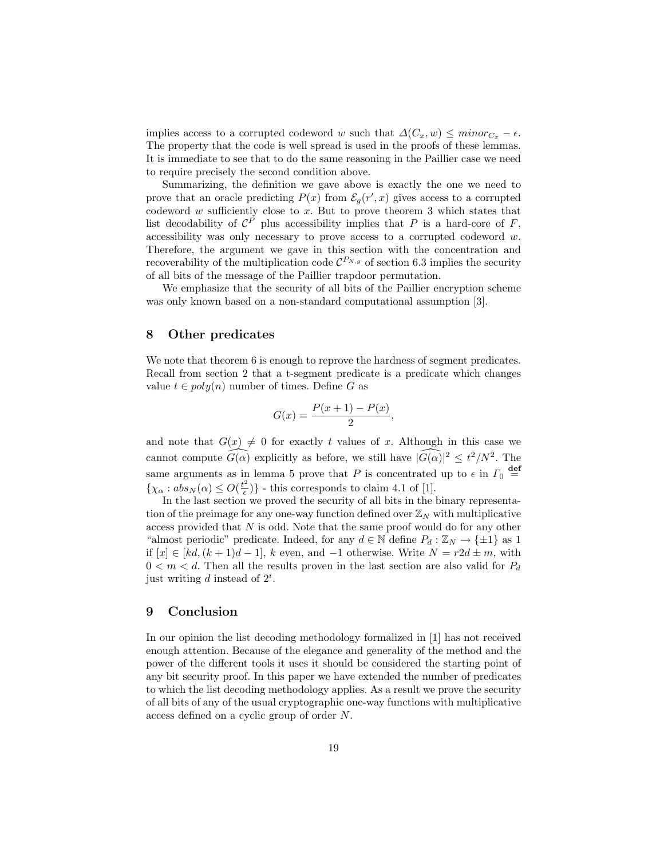implies access to a corrupted codeword w such that  $\Delta(C_x, w) \leq \text{minor}_{C_x} - \epsilon$ . The property that the code is well spread is used in the proofs of these lemmas. It is immediate to see that to do the same reasoning in the Paillier case we need to require precisely the second condition above.

Summarizing, the definition we gave above is exactly the one we need to prove that an oracle predicting  $P(x)$  from  $\mathcal{E}_g(r',x)$  gives access to a corrupted codeword w sufficiently close to x. But to prove theorem 3 which states that list decodability of  $\mathcal{C}^P$  plus accessibility implies that P is a hard-core of F, accessibility was only necessary to prove access to a corrupted codeword  $w$ . Therefore, the argument we gave in this section with the concentration and recoverability of the multiplication code  $\mathcal{C}^{P_{N,g}}$  of section 6.3 implies the security of all bits of the message of the Paillier trapdoor permutation.

We emphasize that the security of all bits of the Paillier encryption scheme was only known based on a non-standard computational assumption [3].

# 8 Other predicates

We note that theorem 6 is enough to reprove the hardness of segment predicates. Recall from section 2 that a t-segment predicate is a predicate which changes value  $t \in poly(n)$  number of times. Define G as

$$
G(x) = \frac{P(x+1) - P(x)}{2},
$$

and note that  $G(x) \neq 0$  for exactly t values of x. Although in this case we cannot compute  $\widehat{G(\alpha)}$  explicitly as before, we still have  $|\widehat{G(\alpha)}|^2 \leq t^2/N^2$ . The same arguments as in lemma 5 prove that P is concentrated up to  $\epsilon$  in  $\Gamma_0$   $\stackrel{\text{def}}{=}$  $\{\chi_{\alpha}: abs_N(\alpha) \leq O(\frac{t^2}{\epsilon})\}$  $\left\{\frac{z}{\epsilon}\right\}$  - this corresponds to claim 4.1 of [1].

In the last section we proved the security of all bits in the binary representation of the preimage for any one-way function defined over  $\mathbb{Z}_N$  with multiplicative access provided that N is odd. Note that the same proof would do for any other "almost periodic" predicate. Indeed, for any  $d \in \mathbb{N}$  define  $P_d : \mathbb{Z}_N \to {\pm 1}$  as 1 if  $[x]$  ∈  $[kd, (k+1)d-1]$ , k even, and -1 otherwise. Write  $N = r2d \pm m$ , with  $0 < m < d$ . Then all the results proven in the last section are also valid for  $P_d$ just writing d instead of  $2^i$ .

## 9 Conclusion

In our opinion the list decoding methodology formalized in [1] has not received enough attention. Because of the elegance and generality of the method and the power of the different tools it uses it should be considered the starting point of any bit security proof. In this paper we have extended the number of predicates to which the list decoding methodology applies. As a result we prove the security of all bits of any of the usual cryptographic one-way functions with multiplicative access defined on a cyclic group of order N.